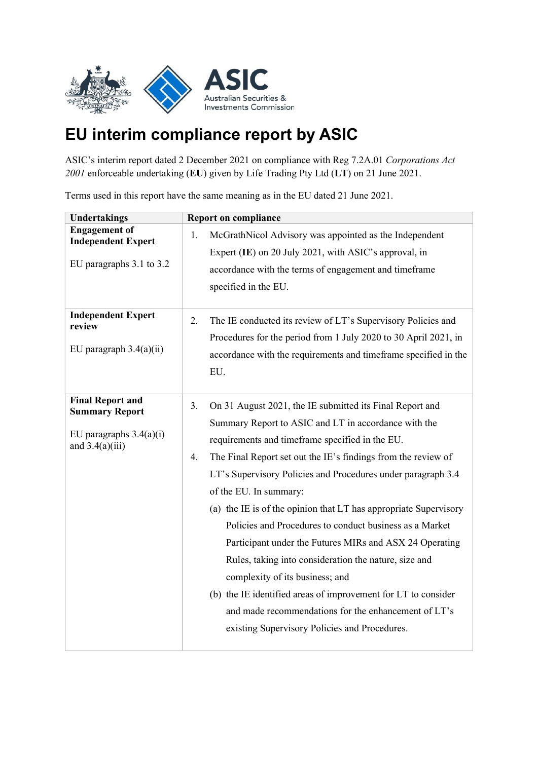

## EU interim compliance report by ASIC

ASIC's interim report dated 2 December 2021 on compliance with Reg 7.2A.01 Corporations Act 2001 enforceable undertaking (EU) given by Life Trading Pty Ltd (LT) on 21 June 2021.

Terms used in this report have the same meaning as in the EU dated 21 June 2021.

| <b>Undertakings</b>                                                                                | <b>Report on compliance</b>                                                                                                                                                                                                                                                                                                                                                                                                                                                                                                                                                                                                                                                                                                                                                                                |
|----------------------------------------------------------------------------------------------------|------------------------------------------------------------------------------------------------------------------------------------------------------------------------------------------------------------------------------------------------------------------------------------------------------------------------------------------------------------------------------------------------------------------------------------------------------------------------------------------------------------------------------------------------------------------------------------------------------------------------------------------------------------------------------------------------------------------------------------------------------------------------------------------------------------|
| <b>Engagement of</b><br><b>Independent Expert</b>                                                  | McGrathNicol Advisory was appointed as the Independent<br>1.                                                                                                                                                                                                                                                                                                                                                                                                                                                                                                                                                                                                                                                                                                                                               |
|                                                                                                    | Expert (IE) on 20 July 2021, with ASIC's approval, in                                                                                                                                                                                                                                                                                                                                                                                                                                                                                                                                                                                                                                                                                                                                                      |
| EU paragraphs 3.1 to 3.2                                                                           | accordance with the terms of engagement and timeframe                                                                                                                                                                                                                                                                                                                                                                                                                                                                                                                                                                                                                                                                                                                                                      |
|                                                                                                    | specified in the EU.                                                                                                                                                                                                                                                                                                                                                                                                                                                                                                                                                                                                                                                                                                                                                                                       |
| <b>Independent Expert</b><br>review<br>EU paragraph $3.4(a)(ii)$                                   | The IE conducted its review of LT's Supervisory Policies and<br>2.<br>Procedures for the period from 1 July 2020 to 30 April 2021, in<br>accordance with the requirements and timeframe specified in the<br>EU.                                                                                                                                                                                                                                                                                                                                                                                                                                                                                                                                                                                            |
| <b>Final Report and</b><br><b>Summary Report</b><br>EU paragraphs $3.4(a)(i)$<br>and $3.4(a)(iii)$ | On 31 August 2021, the IE submitted its Final Report and<br>3.<br>Summary Report to ASIC and LT in accordance with the<br>requirements and timeframe specified in the EU.<br>The Final Report set out the IE's findings from the review of<br>4.<br>LT's Supervisory Policies and Procedures under paragraph 3.4<br>of the EU. In summary:<br>(a) the IE is of the opinion that LT has appropriate Supervisory<br>Policies and Procedures to conduct business as a Market<br>Participant under the Futures MIRs and ASX 24 Operating<br>Rules, taking into consideration the nature, size and<br>complexity of its business; and<br>(b) the IE identified areas of improvement for LT to consider<br>and made recommendations for the enhancement of LT's<br>existing Supervisory Policies and Procedures. |